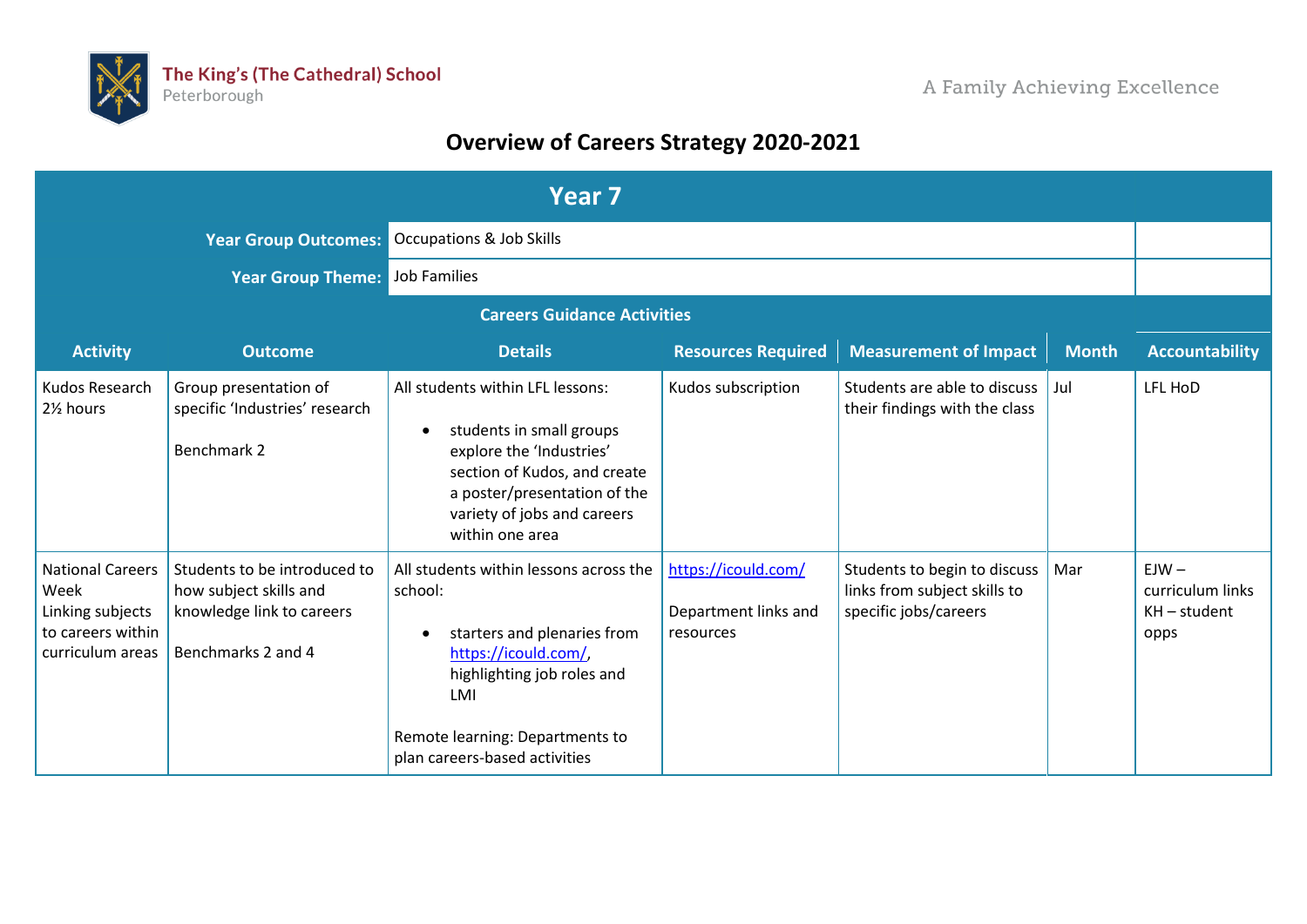

## **Overview of Careers Strategy 2020-2021**

| Year <sub>7</sub>                                                                            |                                                                                                           |                                                                                                                                                                                                                                |                                                          |                                                                                       |              |                                                       |
|----------------------------------------------------------------------------------------------|-----------------------------------------------------------------------------------------------------------|--------------------------------------------------------------------------------------------------------------------------------------------------------------------------------------------------------------------------------|----------------------------------------------------------|---------------------------------------------------------------------------------------|--------------|-------------------------------------------------------|
|                                                                                              | <b>Year Group Outcomes:</b>                                                                               | <b>Occupations &amp; Job Skills</b>                                                                                                                                                                                            |                                                          |                                                                                       |              |                                                       |
|                                                                                              | <b>Year Group Theme: Job Families</b>                                                                     |                                                                                                                                                                                                                                |                                                          |                                                                                       |              |                                                       |
|                                                                                              |                                                                                                           | <b>Careers Guidance Activities</b>                                                                                                                                                                                             |                                                          |                                                                                       |              |                                                       |
| <b>Activity</b>                                                                              | <b>Outcome</b>                                                                                            | <b>Details</b>                                                                                                                                                                                                                 | <b>Resources Required</b>                                | <b>Measurement of Impact</b>                                                          | <b>Month</b> | <b>Accountability</b>                                 |
| Kudos Research<br>21% hours                                                                  | Group presentation of<br>specific 'Industries' research<br>Benchmark 2                                    | All students within LFL lessons:<br>students in small groups<br>$\bullet$<br>explore the 'Industries'<br>section of Kudos, and create<br>a poster/presentation of the<br>variety of jobs and careers<br>within one area        | Kudos subscription                                       | Students are able to discuss<br>their findings with the class                         | Jul          | LFL HoD                                               |
| <b>National Careers</b><br>Week<br>Linking subjects<br>to careers within<br>curriculum areas | Students to be introduced to<br>how subject skills and<br>knowledge link to careers<br>Benchmarks 2 and 4 | All students within lessons across the<br>school:<br>starters and plenaries from<br>$\bullet$<br>https://icould.com/,<br>highlighting job roles and<br>LMI<br>Remote learning: Departments to<br>plan careers-based activities | https://icould.com/<br>Department links and<br>resources | Students to begin to discuss<br>links from subject skills to<br>specific jobs/careers | Mar          | $EJW -$<br>curriculum links<br>$KH$ – student<br>opps |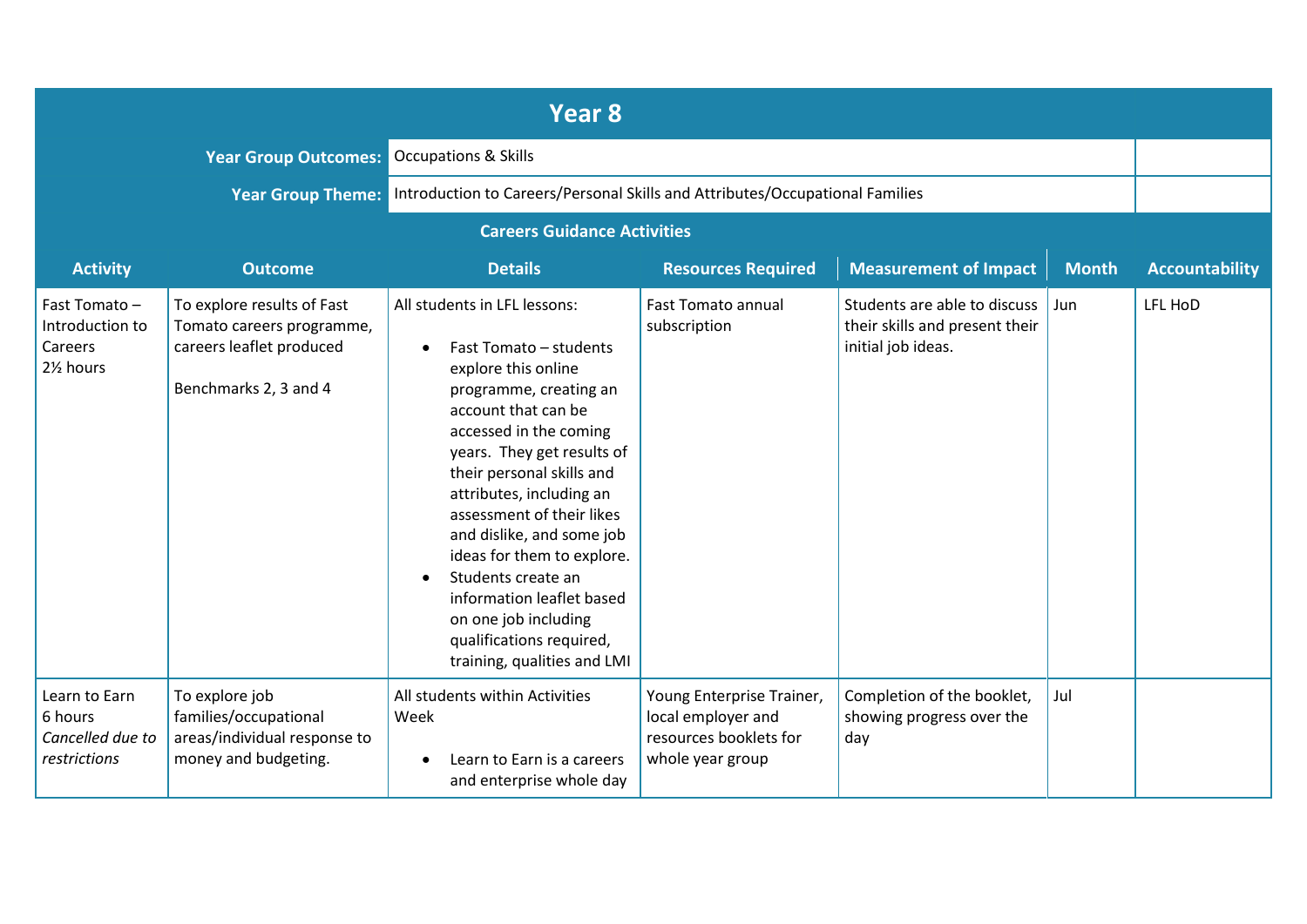|                                                                                   |                                                                                                              | Year 8                                                                                                                                                                                                                                                                                                                                                                                                                                                                        |                                                                                               |                                                                                      |              |                       |
|-----------------------------------------------------------------------------------|--------------------------------------------------------------------------------------------------------------|-------------------------------------------------------------------------------------------------------------------------------------------------------------------------------------------------------------------------------------------------------------------------------------------------------------------------------------------------------------------------------------------------------------------------------------------------------------------------------|-----------------------------------------------------------------------------------------------|--------------------------------------------------------------------------------------|--------------|-----------------------|
|                                                                                   | <b>Year Group Outcomes:</b>                                                                                  | <b>Occupations &amp; Skills</b>                                                                                                                                                                                                                                                                                                                                                                                                                                               |                                                                                               |                                                                                      |              |                       |
|                                                                                   |                                                                                                              | Year Group Theme: Introduction to Careers/Personal Skills and Attributes/Occupational Families                                                                                                                                                                                                                                                                                                                                                                                |                                                                                               |                                                                                      |              |                       |
|                                                                                   |                                                                                                              | <b>Careers Guidance Activities</b>                                                                                                                                                                                                                                                                                                                                                                                                                                            |                                                                                               |                                                                                      |              |                       |
| <b>Activity</b>                                                                   | <b>Outcome</b>                                                                                               | <b>Details</b>                                                                                                                                                                                                                                                                                                                                                                                                                                                                | <b>Resources Required</b>                                                                     | <b>Measurement of Impact</b>                                                         | <b>Month</b> | <b>Accountability</b> |
| Fast Tomato-<br>Introduction to<br>Careers<br>2 <sup>1</sup> / <sub>2</sub> hours | To explore results of Fast<br>Tomato careers programme,<br>careers leaflet produced<br>Benchmarks 2, 3 and 4 | All students in LFL lessons:<br>Fast Tomato - students<br>explore this online<br>programme, creating an<br>account that can be<br>accessed in the coming<br>years. They get results of<br>their personal skills and<br>attributes, including an<br>assessment of their likes<br>and dislike, and some job<br>ideas for them to explore.<br>Students create an<br>information leaflet based<br>on one job including<br>qualifications required,<br>training, qualities and LMI | <b>Fast Tomato annual</b><br>subscription                                                     | Students are able to discuss<br>their skills and present their<br>initial job ideas. | Jun          | LFL HoD               |
| Learn to Earn<br>6 hours<br>Cancelled due to<br>restrictions                      | To explore job<br>families/occupational<br>areas/individual response to<br>money and budgeting.              | All students within Activities<br>Week<br>Learn to Earn is a careers<br>and enterprise whole day                                                                                                                                                                                                                                                                                                                                                                              | Young Enterprise Trainer,<br>local employer and<br>resources booklets for<br>whole year group | Completion of the booklet,<br>showing progress over the<br>day                       | Jul          |                       |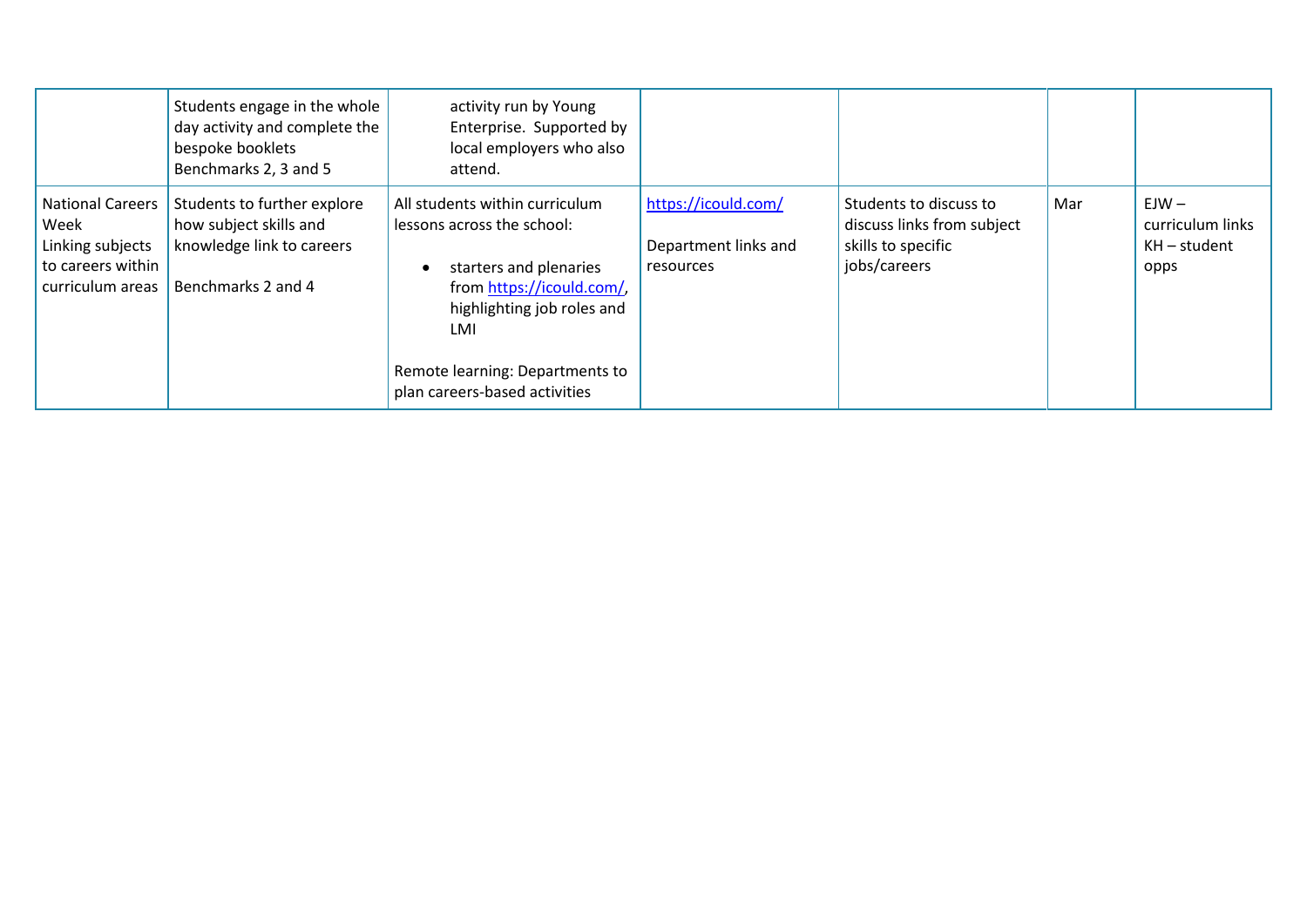|                                                                                              | Students engage in the whole<br>day activity and complete the<br>bespoke booklets<br>Benchmarks 2, 3 and 5 | activity run by Young<br>Enterprise. Supported by<br>local employers who also<br>attend.                                                                                                                                     |                                                          |                                                                                            |     |                                                     |
|----------------------------------------------------------------------------------------------|------------------------------------------------------------------------------------------------------------|------------------------------------------------------------------------------------------------------------------------------------------------------------------------------------------------------------------------------|----------------------------------------------------------|--------------------------------------------------------------------------------------------|-----|-----------------------------------------------------|
| <b>National Careers</b><br>Week<br>Linking subjects<br>to careers within<br>curriculum areas | Students to further explore<br>how subject skills and<br>knowledge link to careers<br>Benchmarks 2 and 4   | All students within curriculum<br>lessons across the school:<br>starters and plenaries<br>from https://icould.com/,<br>highlighting job roles and<br>LMI<br>Remote learning: Departments to<br>plan careers-based activities | https://icould.com/<br>Department links and<br>resources | Students to discuss to<br>discuss links from subject<br>skills to specific<br>jobs/careers | Mar | $EJW -$<br>curriculum links<br>KH – student<br>opps |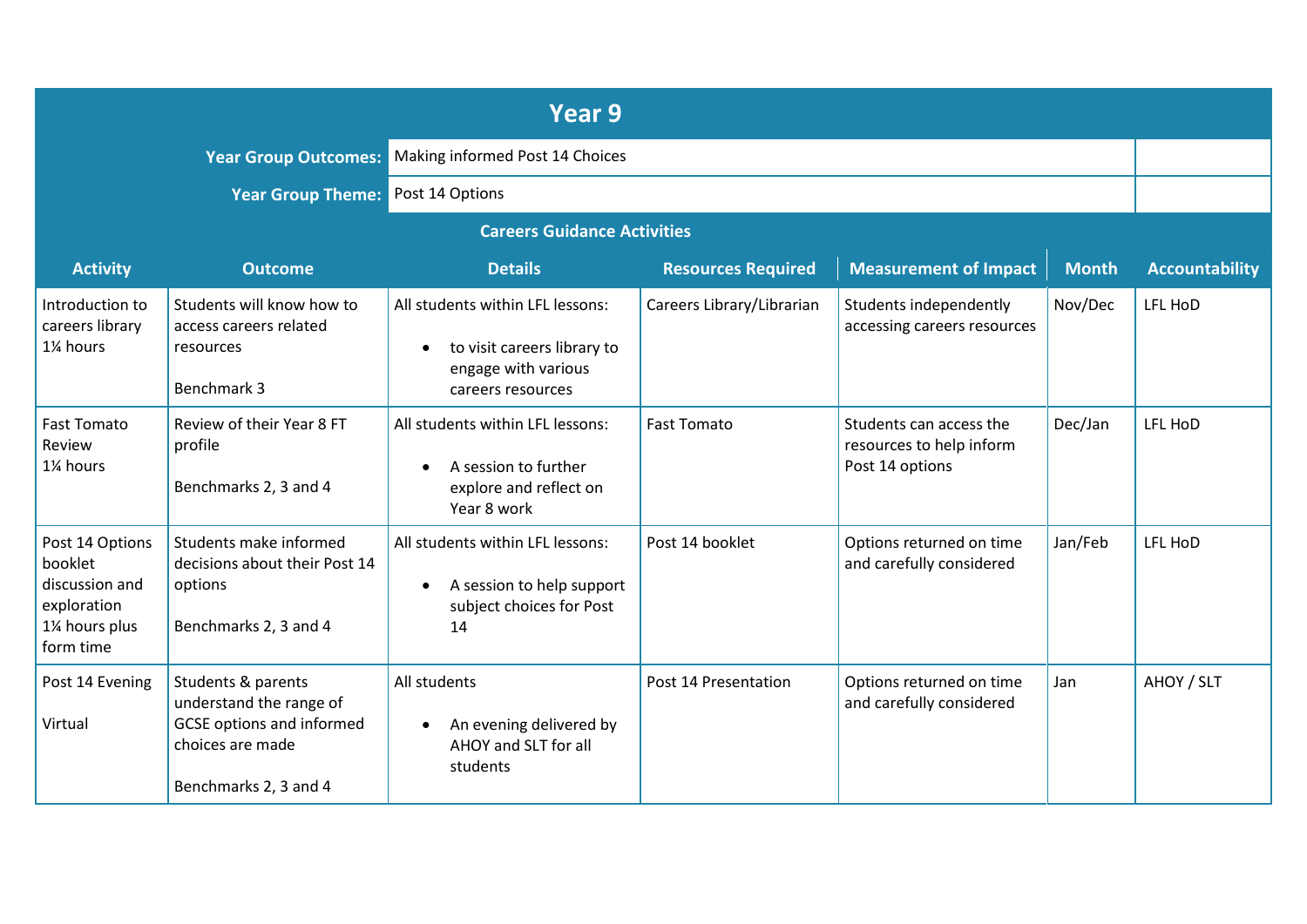|                                                                                           |                                                                                                                                | Year 9                                                                                                                   |                           |                                                                        |              |                       |
|-------------------------------------------------------------------------------------------|--------------------------------------------------------------------------------------------------------------------------------|--------------------------------------------------------------------------------------------------------------------------|---------------------------|------------------------------------------------------------------------|--------------|-----------------------|
|                                                                                           |                                                                                                                                | <b>Year Group Outcomes: Making informed Post 14 Choices</b>                                                              |                           |                                                                        |              |                       |
|                                                                                           | <b>Year Group Theme: Post 14 Options</b>                                                                                       |                                                                                                                          |                           |                                                                        |              |                       |
|                                                                                           |                                                                                                                                | <b>Careers Guidance Activities</b>                                                                                       |                           |                                                                        |              |                       |
| <b>Activity</b>                                                                           | <b>Outcome</b>                                                                                                                 | <b>Details</b>                                                                                                           | <b>Resources Required</b> | <b>Measurement of Impact</b>                                           | <b>Month</b> | <b>Accountability</b> |
| Introduction to<br>careers library<br>1% hours                                            | Students will know how to<br>access careers related<br>resources<br>Benchmark 3                                                | All students within LFL lessons:<br>to visit careers library to<br>$\bullet$<br>engage with various<br>careers resources | Careers Library/Librarian | Students independently<br>accessing careers resources                  | Nov/Dec      | LFL HoD               |
| <b>Fast Tomato</b><br>Review<br>1% hours                                                  | Review of their Year 8 FT<br>profile<br>Benchmarks 2, 3 and 4                                                                  | All students within LFL lessons:<br>A session to further<br>$\bullet$<br>explore and reflect on<br>Year 8 work           | <b>Fast Tomato</b>        | Students can access the<br>resources to help inform<br>Post 14 options | Dec/Jan      | LFL HoD               |
| Post 14 Options<br>booklet<br>discussion and<br>exploration<br>1% hours plus<br>form time | Students make informed<br>decisions about their Post 14<br>options<br>Benchmarks 2, 3 and 4                                    | All students within LFL lessons:<br>A session to help support<br>$\bullet$<br>subject choices for Post<br>14             | Post 14 booklet           | Options returned on time<br>and carefully considered                   | Jan/Feb      | LFL HoD               |
| Post 14 Evening<br>Virtual                                                                | Students & parents<br>understand the range of<br><b>GCSE</b> options and informed<br>choices are made<br>Benchmarks 2, 3 and 4 | All students<br>An evening delivered by<br>$\bullet$<br>AHOY and SLT for all<br>students                                 | Post 14 Presentation      | Options returned on time<br>and carefully considered                   | Jan          | AHOY / SLT            |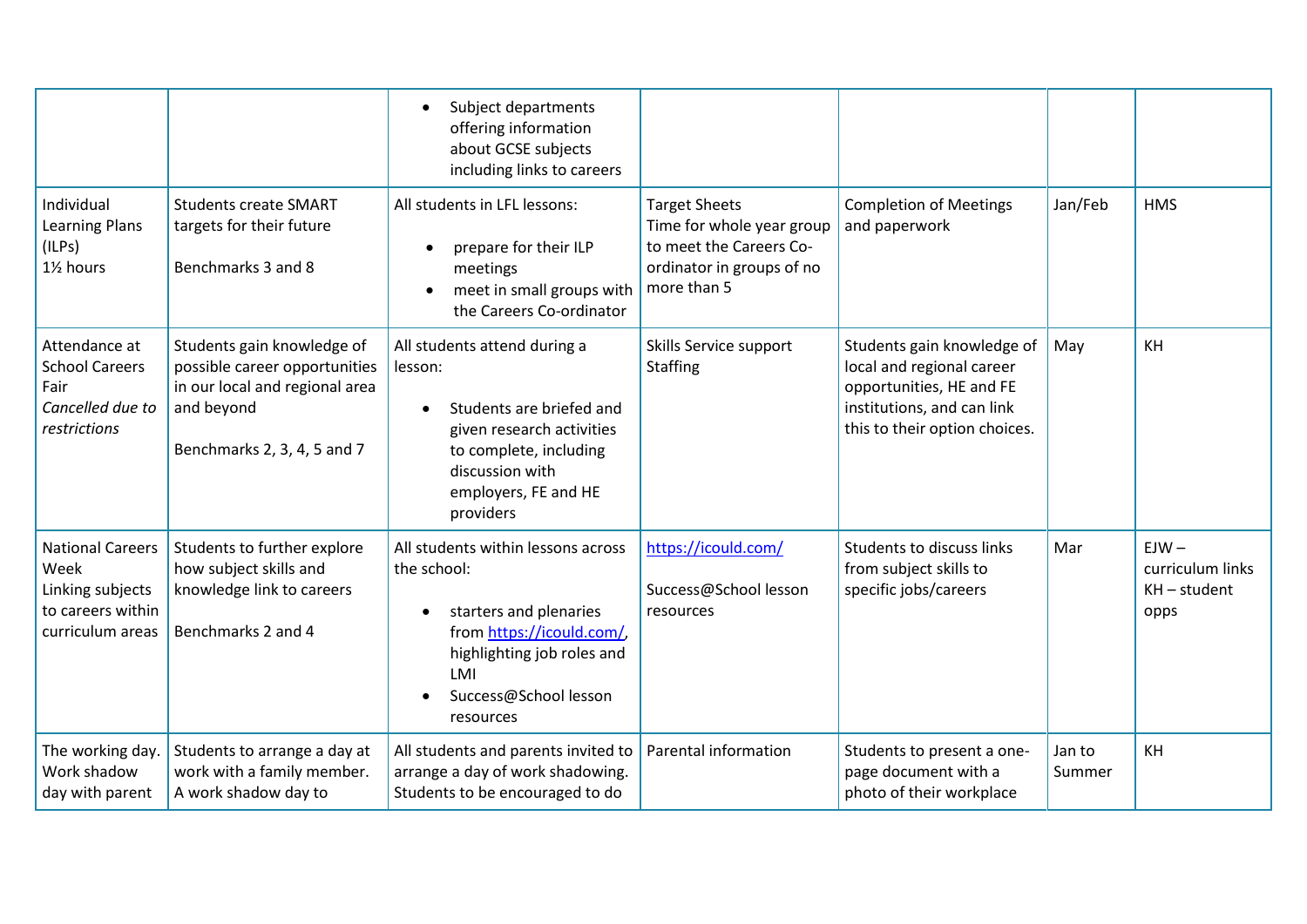|                                                                                              |                                                                                                                                            | Subject departments<br>$\bullet$<br>offering information<br>about GCSE subjects<br>including links to careers                                                                                   |                                                                                                                          |                                                                                                                                                    |                  |                                                       |
|----------------------------------------------------------------------------------------------|--------------------------------------------------------------------------------------------------------------------------------------------|-------------------------------------------------------------------------------------------------------------------------------------------------------------------------------------------------|--------------------------------------------------------------------------------------------------------------------------|----------------------------------------------------------------------------------------------------------------------------------------------------|------------------|-------------------------------------------------------|
| Individual<br><b>Learning Plans</b><br>(ILPs)<br>1% hours                                    | <b>Students create SMART</b><br>targets for their future<br>Benchmarks 3 and 8                                                             | All students in LFL lessons:<br>prepare for their ILP<br>meetings<br>meet in small groups with<br>the Careers Co-ordinator                                                                      | <b>Target Sheets</b><br>Time for whole year group<br>to meet the Careers Co-<br>ordinator in groups of no<br>more than 5 | <b>Completion of Meetings</b><br>and paperwork                                                                                                     | Jan/Feb          | <b>HMS</b>                                            |
| Attendance at<br><b>School Careers</b><br>Fair<br>Cancelled due to<br>restrictions           | Students gain knowledge of<br>possible career opportunities<br>in our local and regional area<br>and beyond<br>Benchmarks 2, 3, 4, 5 and 7 | All students attend during a<br>lesson:<br>Students are briefed and<br>$\bullet$<br>given research activities<br>to complete, including<br>discussion with<br>employers, FE and HE<br>providers | Skills Service support<br>Staffing                                                                                       | Students gain knowledge of<br>local and regional career<br>opportunities, HE and FE<br>institutions, and can link<br>this to their option choices. | May              | KH                                                    |
| <b>National Careers</b><br>Week<br>Linking subjects<br>to careers within<br>curriculum areas | Students to further explore<br>how subject skills and<br>knowledge link to careers<br>Benchmarks 2 and 4                                   | All students within lessons across<br>the school:<br>starters and plenaries<br>from https://icould.com/,<br>highlighting job roles and<br>LMI<br>Success@School lesson<br>resources             | https://icould.com/<br>Success@School lesson<br>resources                                                                | Students to discuss links<br>from subject skills to<br>specific jobs/careers                                                                       | Mar              | $EJW -$<br>curriculum links<br>$KH$ – student<br>opps |
| The working day.<br>Work shadow<br>day with parent                                           | Students to arrange a day at<br>work with a family member.<br>A work shadow day to                                                         | All students and parents invited to<br>arrange a day of work shadowing.<br>Students to be encouraged to do                                                                                      | Parental information                                                                                                     | Students to present a one-<br>page document with a<br>photo of their workplace                                                                     | Jan to<br>Summer | KH                                                    |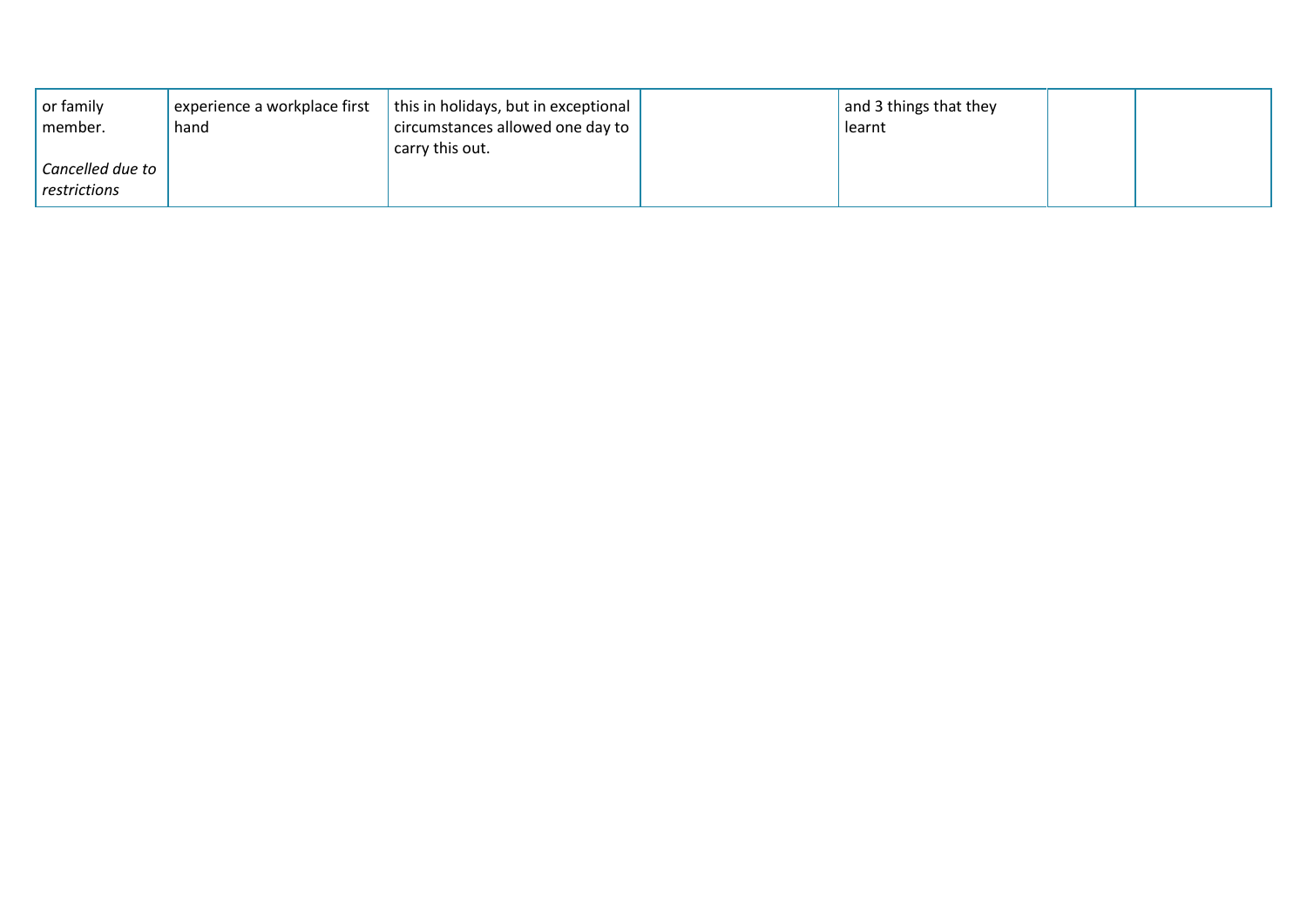| $\vert$ or family<br>member.     | experience a workplace first<br>hand | this in holidays, but in exceptional<br>circumstances allowed one day to<br>carry this out. | and 3 things that they<br>learnt |  |
|----------------------------------|--------------------------------------|---------------------------------------------------------------------------------------------|----------------------------------|--|
| Cancelled due to<br>restrictions |                                      |                                                                                             |                                  |  |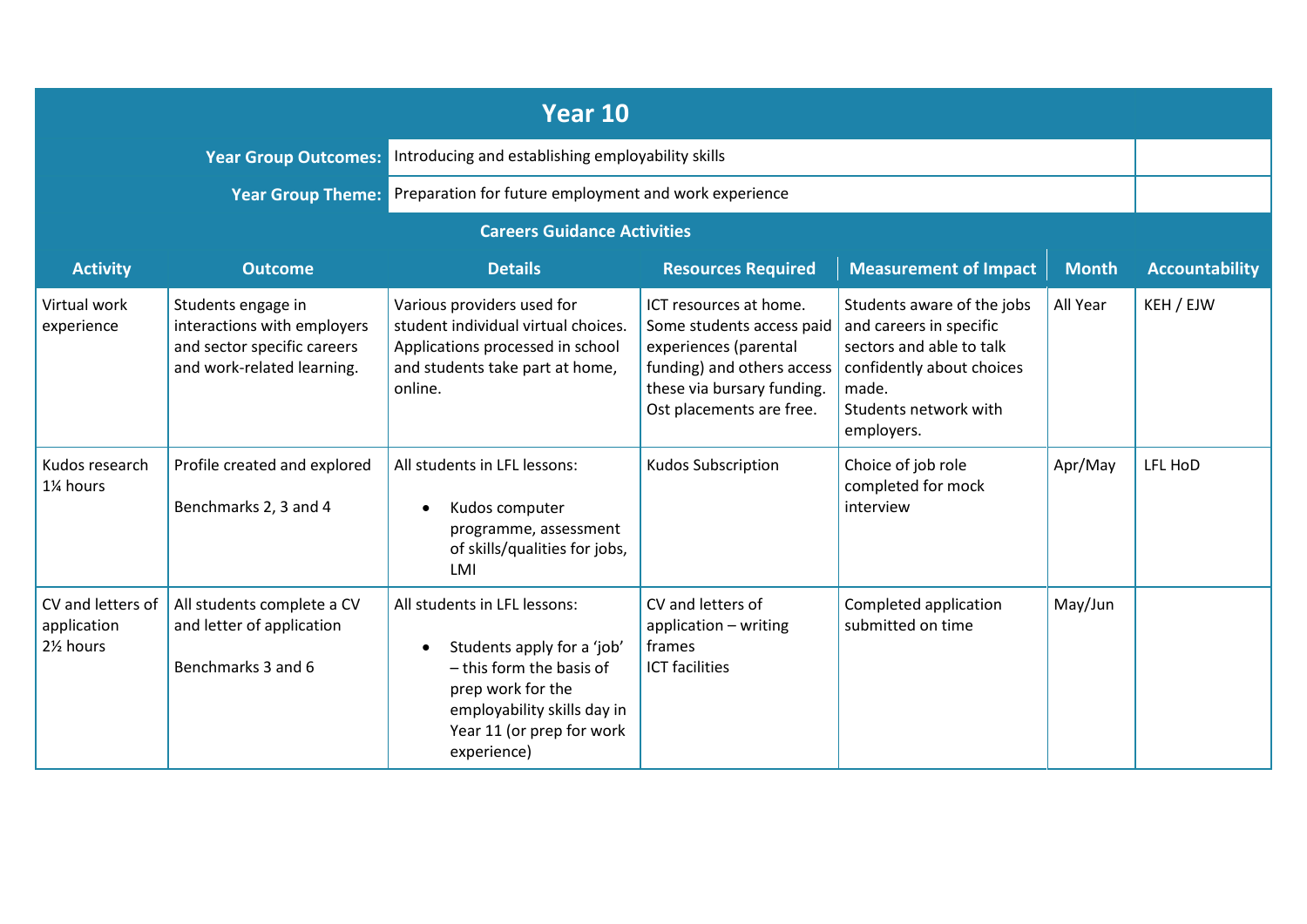|                                                            |                                                                                                                | Year 10                                                                                                                                                                                |                                                                                                                                                                                                  |                                                                                                                                   |              |                       |
|------------------------------------------------------------|----------------------------------------------------------------------------------------------------------------|----------------------------------------------------------------------------------------------------------------------------------------------------------------------------------------|--------------------------------------------------------------------------------------------------------------------------------------------------------------------------------------------------|-----------------------------------------------------------------------------------------------------------------------------------|--------------|-----------------------|
|                                                            | <b>Year Group Outcomes:</b>                                                                                    | Introducing and establishing employability skills                                                                                                                                      |                                                                                                                                                                                                  |                                                                                                                                   |              |                       |
|                                                            |                                                                                                                | Year Group Theme: Preparation for future employment and work experience                                                                                                                |                                                                                                                                                                                                  |                                                                                                                                   |              |                       |
|                                                            |                                                                                                                | <b>Careers Guidance Activities</b>                                                                                                                                                     |                                                                                                                                                                                                  |                                                                                                                                   |              |                       |
| <b>Activity</b>                                            | <b>Outcome</b>                                                                                                 | <b>Details</b>                                                                                                                                                                         | <b>Resources Required</b>                                                                                                                                                                        | <b>Measurement of Impact</b>                                                                                                      | <b>Month</b> | <b>Accountability</b> |
| Virtual work<br>experience                                 | Students engage in<br>interactions with employers<br>and sector specific careers<br>and work-related learning. | Various providers used for<br>student individual virtual choices.<br>Applications processed in school<br>and students take part at home,<br>online.                                    | ICT resources at home.<br>Some students access paid<br>experiences (parental<br>funding) and others access   confidently about choices<br>these via bursary funding.<br>Ost placements are free. | Students aware of the jobs<br>and careers in specific<br>sectors and able to talk<br>made.<br>Students network with<br>employers. | All Year     | KEH / EJW             |
| Kudos research<br>1% hours                                 | Profile created and explored<br>Benchmarks 2, 3 and 4                                                          | All students in LFL lessons:<br>Kudos computer<br>programme, assessment<br>of skills/qualities for jobs,<br>LMI                                                                        | <b>Kudos Subscription</b>                                                                                                                                                                        | Choice of job role<br>completed for mock<br>interview                                                                             | Apr/May      | LFL HoD               |
| CV and letters of<br>application<br>21/ <sub>2</sub> hours | All students complete a CV<br>and letter of application<br>Benchmarks 3 and 6                                  | All students in LFL lessons:<br>Students apply for a 'job'<br>- this form the basis of<br>prep work for the<br>employability skills day in<br>Year 11 (or prep for work<br>experience) | CV and letters of<br>application - writing<br>frames<br><b>ICT</b> facilities                                                                                                                    | Completed application<br>submitted on time                                                                                        | May/Jun      |                       |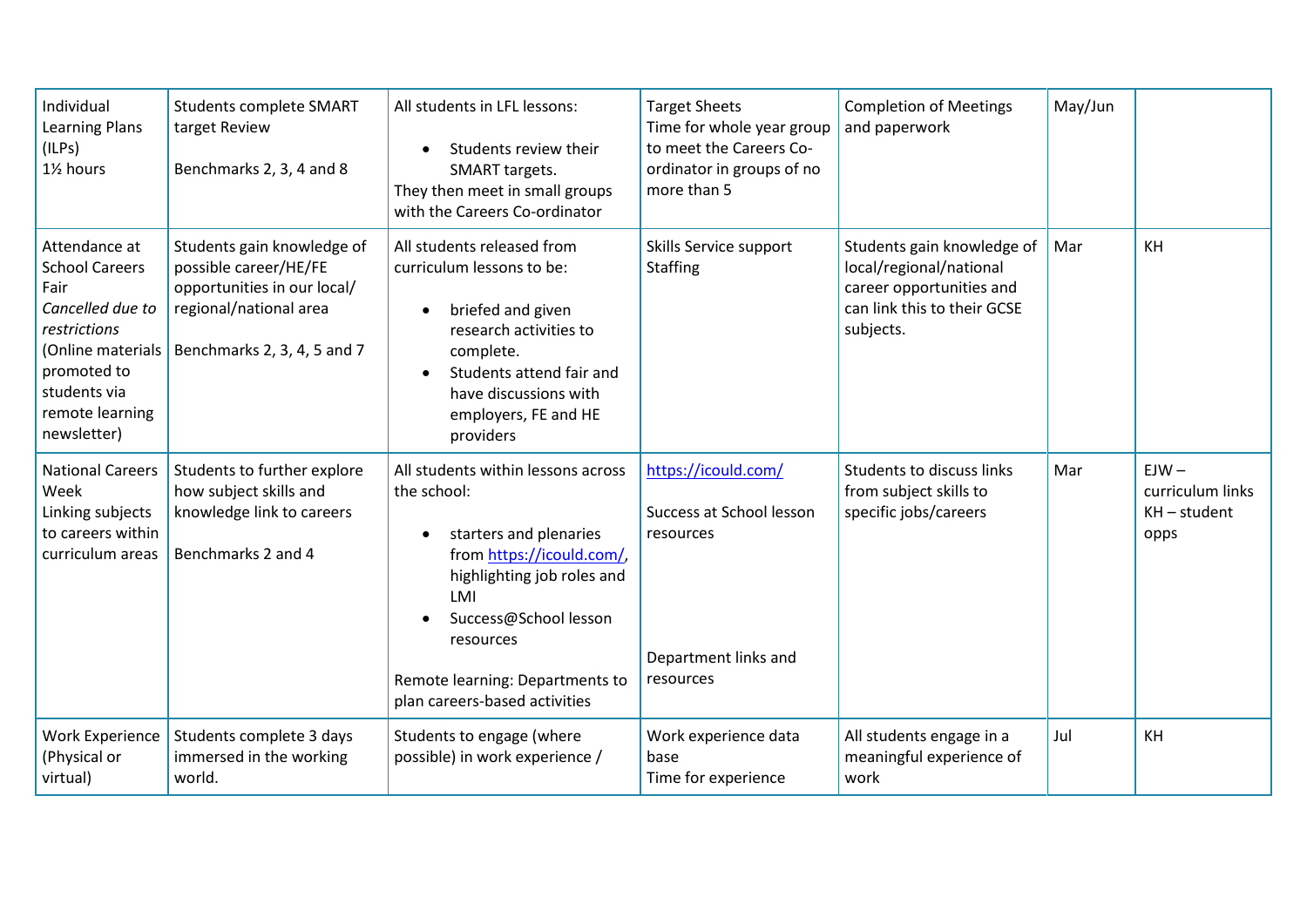| Individual<br><b>Learning Plans</b><br>(ILPs)<br>1% hours                                                                                                                | <b>Students complete SMART</b><br>target Review<br>Benchmarks 2, 3, 4 and 8                                                                 | All students in LFL lessons:<br>Students review their<br>$\bullet$<br>SMART targets.<br>They then meet in small groups<br>with the Careers Co-ordinator                                                                                                 | <b>Target Sheets</b><br>Time for whole year group<br>to meet the Careers Co-<br>ordinator in groups of no<br>more than 5 | <b>Completion of Meetings</b><br>and paperwork                                                                                | May/Jun |                                                       |
|--------------------------------------------------------------------------------------------------------------------------------------------------------------------------|---------------------------------------------------------------------------------------------------------------------------------------------|---------------------------------------------------------------------------------------------------------------------------------------------------------------------------------------------------------------------------------------------------------|--------------------------------------------------------------------------------------------------------------------------|-------------------------------------------------------------------------------------------------------------------------------|---------|-------------------------------------------------------|
| Attendance at<br><b>School Careers</b><br>Fair<br>Cancelled due to<br>restrictions<br>(Online materials<br>promoted to<br>students via<br>remote learning<br>newsletter) | Students gain knowledge of<br>possible career/HE/FE<br>opportunities in our local/<br>regional/national area<br>Benchmarks 2, 3, 4, 5 and 7 | All students released from<br>curriculum lessons to be:<br>briefed and given<br>$\bullet$<br>research activities to<br>complete.<br>Students attend fair and<br>have discussions with<br>employers, FE and HE<br>providers                              | Skills Service support<br><b>Staffing</b>                                                                                | Students gain knowledge of<br>local/regional/national<br>career opportunities and<br>can link this to their GCSE<br>subjects. | Mar     | KH                                                    |
| <b>National Careers</b><br>Week<br>Linking subjects<br>to careers within<br>curriculum areas                                                                             | Students to further explore<br>how subject skills and<br>knowledge link to careers<br>Benchmarks 2 and 4                                    | All students within lessons across<br>the school:<br>starters and plenaries<br>from https://icould.com/,<br>highlighting job roles and<br>LMI<br>Success@School lesson<br>resources<br>Remote learning: Departments to<br>plan careers-based activities | https://icould.com/<br>Success at School lesson<br>resources<br>Department links and<br>resources                        | Students to discuss links<br>from subject skills to<br>specific jobs/careers                                                  | Mar     | $EJW -$<br>curriculum links<br>$KH$ – student<br>opps |
| <b>Work Experience</b><br>(Physical or<br>virtual)                                                                                                                       | Students complete 3 days<br>immersed in the working<br>world.                                                                               | Students to engage (where<br>possible) in work experience /                                                                                                                                                                                             | Work experience data<br>base<br>Time for experience                                                                      | All students engage in a<br>meaningful experience of<br>work                                                                  | Jul     | KH                                                    |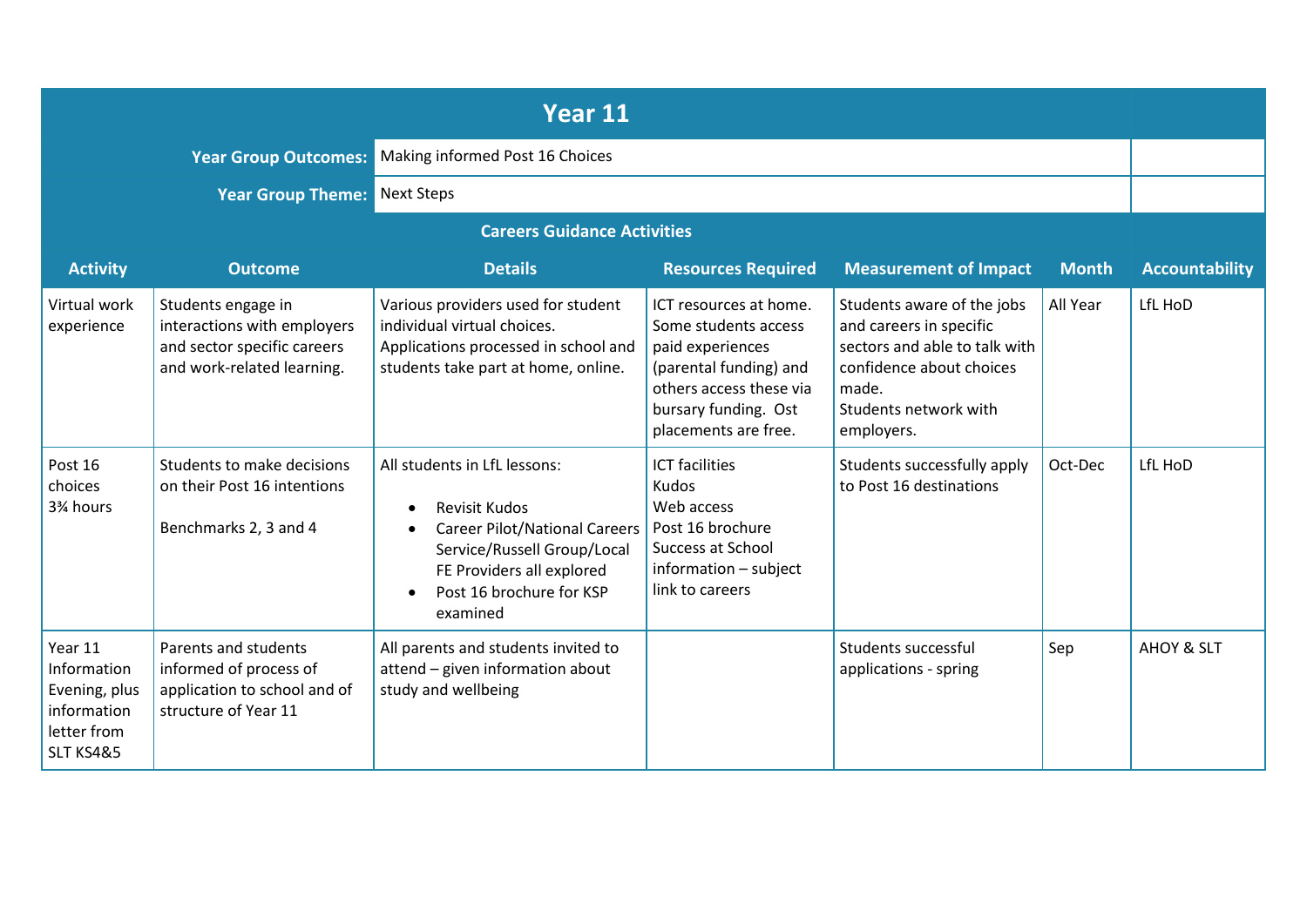| <b>Year 11</b>                                                                     |                                                                                                                |                                                                                                                                                                                                                            |                                                                                                                                                                         |                                                                                                                                                                    |              |                       |
|------------------------------------------------------------------------------------|----------------------------------------------------------------------------------------------------------------|----------------------------------------------------------------------------------------------------------------------------------------------------------------------------------------------------------------------------|-------------------------------------------------------------------------------------------------------------------------------------------------------------------------|--------------------------------------------------------------------------------------------------------------------------------------------------------------------|--------------|-----------------------|
|                                                                                    | <b>Year Group Outcomes:</b>                                                                                    | Making informed Post 16 Choices                                                                                                                                                                                            |                                                                                                                                                                         |                                                                                                                                                                    |              |                       |
|                                                                                    | <b>Year Group Theme:</b>                                                                                       | Next Steps                                                                                                                                                                                                                 |                                                                                                                                                                         |                                                                                                                                                                    |              |                       |
|                                                                                    |                                                                                                                | <b>Careers Guidance Activities</b>                                                                                                                                                                                         |                                                                                                                                                                         |                                                                                                                                                                    |              |                       |
| <b>Activity</b>                                                                    | <b>Outcome</b>                                                                                                 | <b>Details</b>                                                                                                                                                                                                             | <b>Resources Required</b>                                                                                                                                               | <b>Measurement of Impact</b>                                                                                                                                       | <b>Month</b> | <b>Accountability</b> |
| Virtual work<br>experience                                                         | Students engage in<br>interactions with employers<br>and sector specific careers<br>and work-related learning. | Various providers used for student<br>individual virtual choices.<br>Applications processed in school and<br>students take part at home, online.                                                                           | ICT resources at home.<br>Some students access<br>paid experiences<br>(parental funding) and<br>others access these via<br>bursary funding. Ost<br>placements are free. | Students aware of the jobs<br>and careers in specific<br>sectors and able to talk with<br>confidence about choices<br>made.<br>Students network with<br>employers. | All Year     | LfL HoD               |
| Post 16<br>choices<br>3% hours                                                     | Students to make decisions<br>on their Post 16 intentions<br>Benchmarks 2, 3 and 4                             | All students in LfL lessons:<br><b>Revisit Kudos</b><br>$\bullet$<br><b>Career Pilot/National Careers</b><br>Service/Russell Group/Local<br>FE Providers all explored<br>Post 16 brochure for KSP<br>$\bullet$<br>examined | <b>ICT</b> facilities<br><b>Kudos</b><br>Web access<br>Post 16 brochure<br><b>Success at School</b><br>information - subject<br>link to careers                         | Students successfully apply<br>to Post 16 destinations                                                                                                             | Oct-Dec      | LfL HoD               |
| Year 11<br>Information<br>Evening, plus<br>information<br>letter from<br>SLT KS4&5 | Parents and students<br>informed of process of<br>application to school and of<br>structure of Year 11         | All parents and students invited to<br>attend - given information about<br>study and wellbeing                                                                                                                             |                                                                                                                                                                         | Students successful<br>applications - spring                                                                                                                       | Sep          | AHOY & SLT            |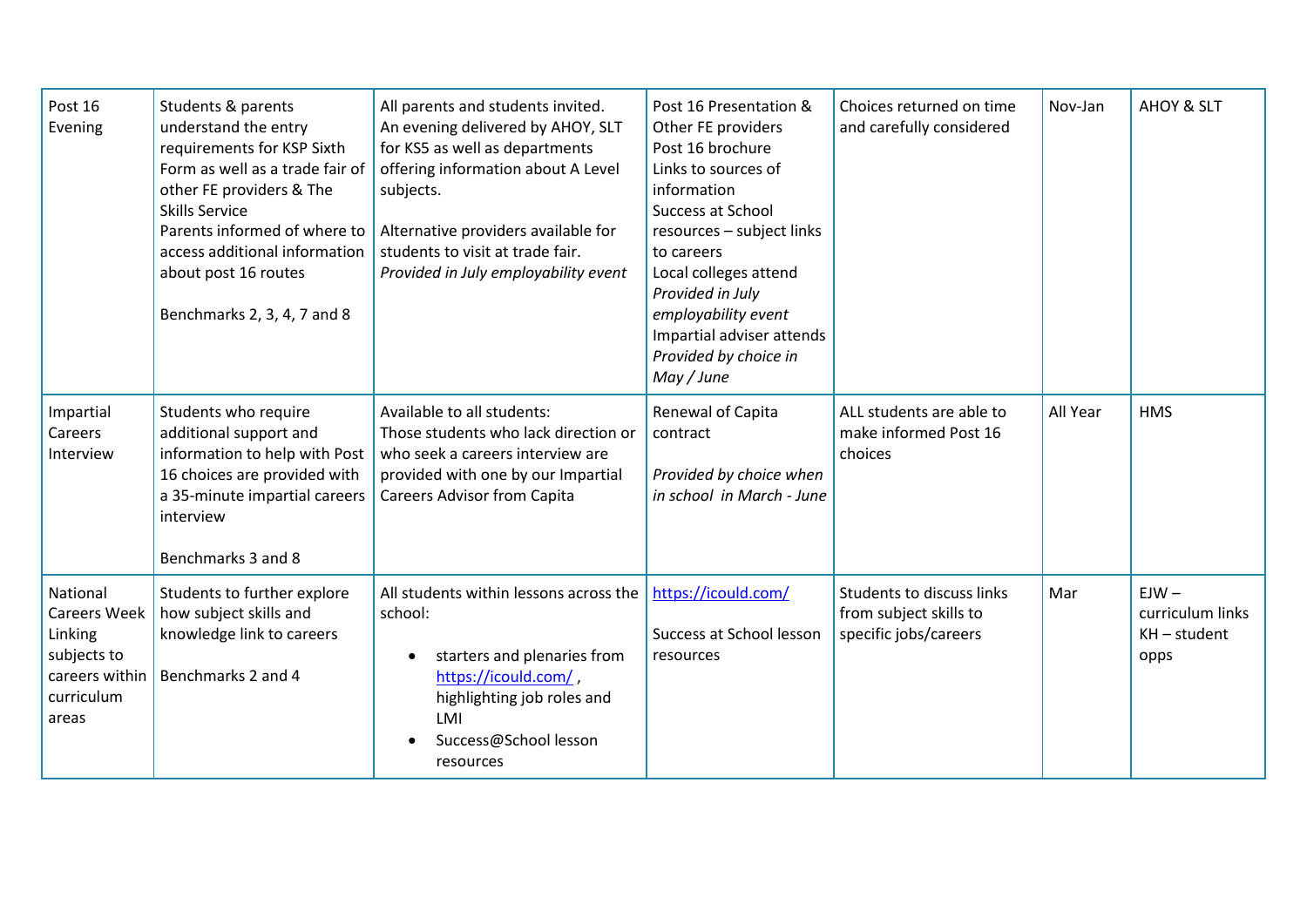| Post 16<br>Evening                                                                                 | Students & parents<br>understand the entry<br>requirements for KSP Sixth<br>Form as well as a trade fair of<br>other FE providers & The<br><b>Skills Service</b><br>Parents informed of where to<br>access additional information<br>about post 16 routes<br>Benchmarks 2, 3, 4, 7 and 8 | All parents and students invited.<br>An evening delivered by AHOY, SLT<br>for KS5 as well as departments<br>offering information about A Level<br>subjects.<br>Alternative providers available for<br>students to visit at trade fair.<br>Provided in July employability event | Post 16 Presentation &<br>Other FE providers<br>Post 16 brochure<br>Links to sources of<br>information<br>Success at School<br>resources - subject links<br>to careers<br>Local colleges attend<br>Provided in July<br>employability event<br>Impartial adviser attends<br>Provided by choice in<br>May / June | Choices returned on time<br>and carefully considered                         | Nov-Jan  | <b>AHOY &amp; SLT</b>                                 |
|----------------------------------------------------------------------------------------------------|------------------------------------------------------------------------------------------------------------------------------------------------------------------------------------------------------------------------------------------------------------------------------------------|--------------------------------------------------------------------------------------------------------------------------------------------------------------------------------------------------------------------------------------------------------------------------------|----------------------------------------------------------------------------------------------------------------------------------------------------------------------------------------------------------------------------------------------------------------------------------------------------------------|------------------------------------------------------------------------------|----------|-------------------------------------------------------|
| Impartial<br>Careers<br>Interview                                                                  | Students who require<br>additional support and<br>information to help with Post<br>16 choices are provided with<br>a 35-minute impartial careers<br>interview<br>Benchmarks 3 and 8                                                                                                      | Available to all students:<br>Those students who lack direction or<br>who seek a careers interview are<br>provided with one by our Impartial<br><b>Careers Advisor from Capita</b>                                                                                             | Renewal of Capita<br>contract<br>Provided by choice when<br>in school in March - June                                                                                                                                                                                                                          | ALL students are able to<br>make informed Post 16<br>choices                 | All Year | <b>HMS</b>                                            |
| National<br><b>Careers Week</b><br>Linking<br>subjects to<br>careers within<br>curriculum<br>areas | Students to further explore<br>how subject skills and<br>knowledge link to careers<br>Benchmarks 2 and 4                                                                                                                                                                                 | All students within lessons across the<br>school:<br>starters and plenaries from<br>$\bullet$<br>https://icould.com/,<br>highlighting job roles and<br>LMI<br>Success@School lesson<br>resources                                                                               | https://icould.com/<br>Success at School lesson<br>resources                                                                                                                                                                                                                                                   | Students to discuss links<br>from subject skills to<br>specific jobs/careers | Mar      | $EJW -$<br>curriculum links<br>$KH$ – student<br>opps |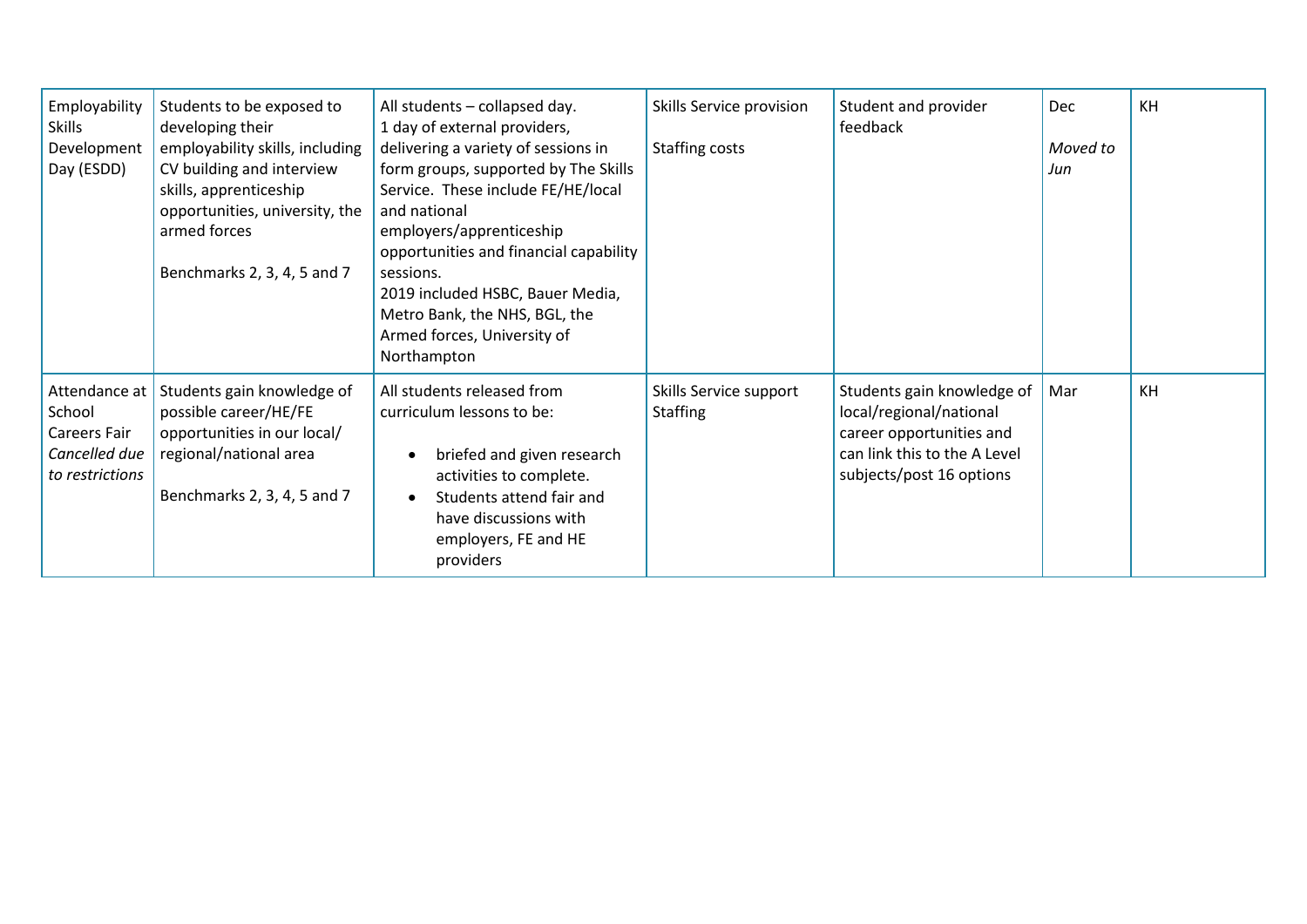| Employability<br><b>Skills</b><br>Development<br>Day (ESDD)                        | Students to be exposed to<br>developing their<br>employability skills, including<br>CV building and interview<br>skills, apprenticeship<br>opportunities, university, the<br>armed forces<br>Benchmarks 2, 3, 4, 5 and 7 | All students - collapsed day.<br>1 day of external providers,<br>delivering a variety of sessions in<br>form groups, supported by The Skills<br>Service. These include FE/HE/local<br>and national<br>employers/apprenticeship<br>opportunities and financial capability<br>sessions.<br>2019 included HSBC, Bauer Media,<br>Metro Bank, the NHS, BGL, the<br>Armed forces, University of<br>Northampton | Skills Service provision<br>Staffing costs | Student and provider<br>feedback                                                                                                              | Dec<br>Moved to<br>Jun | KH |
|------------------------------------------------------------------------------------|--------------------------------------------------------------------------------------------------------------------------------------------------------------------------------------------------------------------------|----------------------------------------------------------------------------------------------------------------------------------------------------------------------------------------------------------------------------------------------------------------------------------------------------------------------------------------------------------------------------------------------------------|--------------------------------------------|-----------------------------------------------------------------------------------------------------------------------------------------------|------------------------|----|
| Attendance at<br>School<br><b>Careers Fair</b><br>Cancelled due<br>to restrictions | Students gain knowledge of<br>possible career/HE/FE<br>opportunities in our local/<br>regional/national area<br>Benchmarks 2, 3, 4, 5 and 7                                                                              | All students released from<br>curriculum lessons to be:<br>briefed and given research<br>$\bullet$<br>activities to complete.<br>Students attend fair and<br>$\bullet$<br>have discussions with<br>employers, FE and HE<br>providers                                                                                                                                                                     | Skills Service support<br><b>Staffing</b>  | Students gain knowledge of<br>local/regional/national<br>career opportunities and<br>can link this to the A Level<br>subjects/post 16 options | Mar                    | KH |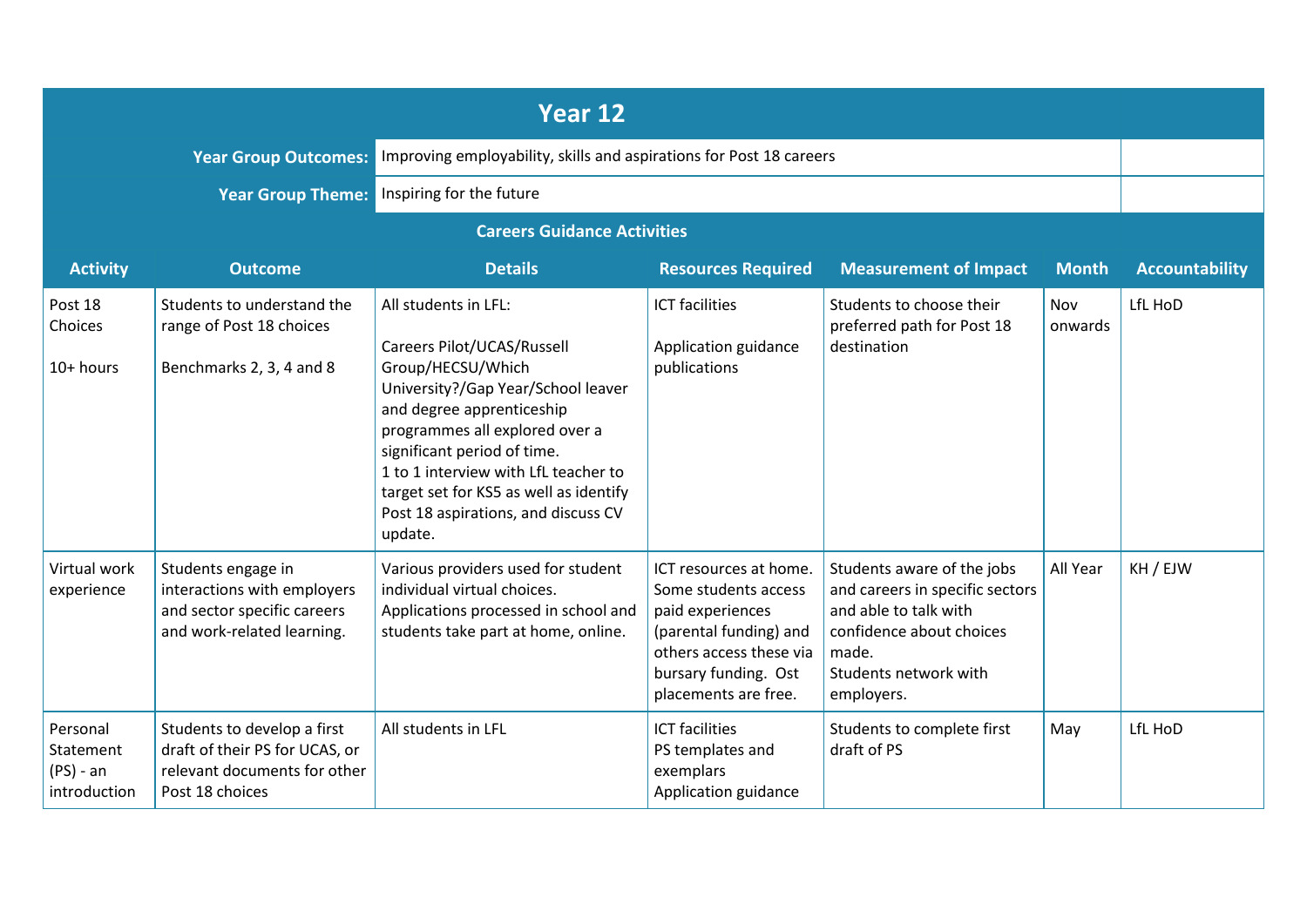|                                                      |                                                                                                                  | Year 12                                                                                                                                                                                                                                                                                                                                         |                                                                                                                                                                         |                                                                                                                                                                    |                |                       |
|------------------------------------------------------|------------------------------------------------------------------------------------------------------------------|-------------------------------------------------------------------------------------------------------------------------------------------------------------------------------------------------------------------------------------------------------------------------------------------------------------------------------------------------|-------------------------------------------------------------------------------------------------------------------------------------------------------------------------|--------------------------------------------------------------------------------------------------------------------------------------------------------------------|----------------|-----------------------|
|                                                      | <b>Year Group Outcomes:</b>                                                                                      | Improving employability, skills and aspirations for Post 18 careers                                                                                                                                                                                                                                                                             |                                                                                                                                                                         |                                                                                                                                                                    |                |                       |
|                                                      | <b>Year Group Theme:</b>                                                                                         | Inspiring for the future                                                                                                                                                                                                                                                                                                                        |                                                                                                                                                                         |                                                                                                                                                                    |                |                       |
| <b>Careers Guidance Activities</b>                   |                                                                                                                  |                                                                                                                                                                                                                                                                                                                                                 |                                                                                                                                                                         |                                                                                                                                                                    |                |                       |
| <b>Activity</b>                                      | <b>Outcome</b>                                                                                                   | <b>Details</b>                                                                                                                                                                                                                                                                                                                                  | <b>Resources Required</b>                                                                                                                                               | <b>Measurement of Impact</b>                                                                                                                                       | <b>Month</b>   | <b>Accountability</b> |
| Post 18<br>Choices<br>10+ hours                      | Students to understand the<br>range of Post 18 choices<br>Benchmarks 2, 3, 4 and 8                               | All students in LFL:<br>Careers Pilot/UCAS/Russell<br>Group/HECSU/Which<br>University?/Gap Year/School leaver<br>and degree apprenticeship<br>programmes all explored over a<br>significant period of time.<br>1 to 1 interview with LfL teacher to<br>target set for KS5 as well as identify<br>Post 18 aspirations, and discuss CV<br>update. | <b>ICT</b> facilities<br>Application guidance<br>publications                                                                                                           | Students to choose their<br>preferred path for Post 18<br>destination                                                                                              | Nov<br>onwards | LfL HoD               |
| Virtual work<br>experience                           | Students engage in<br>interactions with employers<br>and sector specific careers<br>and work-related learning.   | Various providers used for student<br>individual virtual choices.<br>Applications processed in school and<br>students take part at home, online.                                                                                                                                                                                                | ICT resources at home.<br>Some students access<br>paid experiences<br>(parental funding) and<br>others access these via<br>bursary funding. Ost<br>placements are free. | Students aware of the jobs<br>and careers in specific sectors<br>and able to talk with<br>confidence about choices<br>made.<br>Students network with<br>employers. | All Year       | KH / EJW              |
| Personal<br>Statement<br>$(PS)$ - an<br>introduction | Students to develop a first<br>draft of their PS for UCAS, or<br>relevant documents for other<br>Post 18 choices | All students in LFL                                                                                                                                                                                                                                                                                                                             | <b>ICT</b> facilities<br>PS templates and<br>exemplars<br>Application guidance                                                                                          | Students to complete first<br>draft of PS                                                                                                                          | May            | LfL HoD               |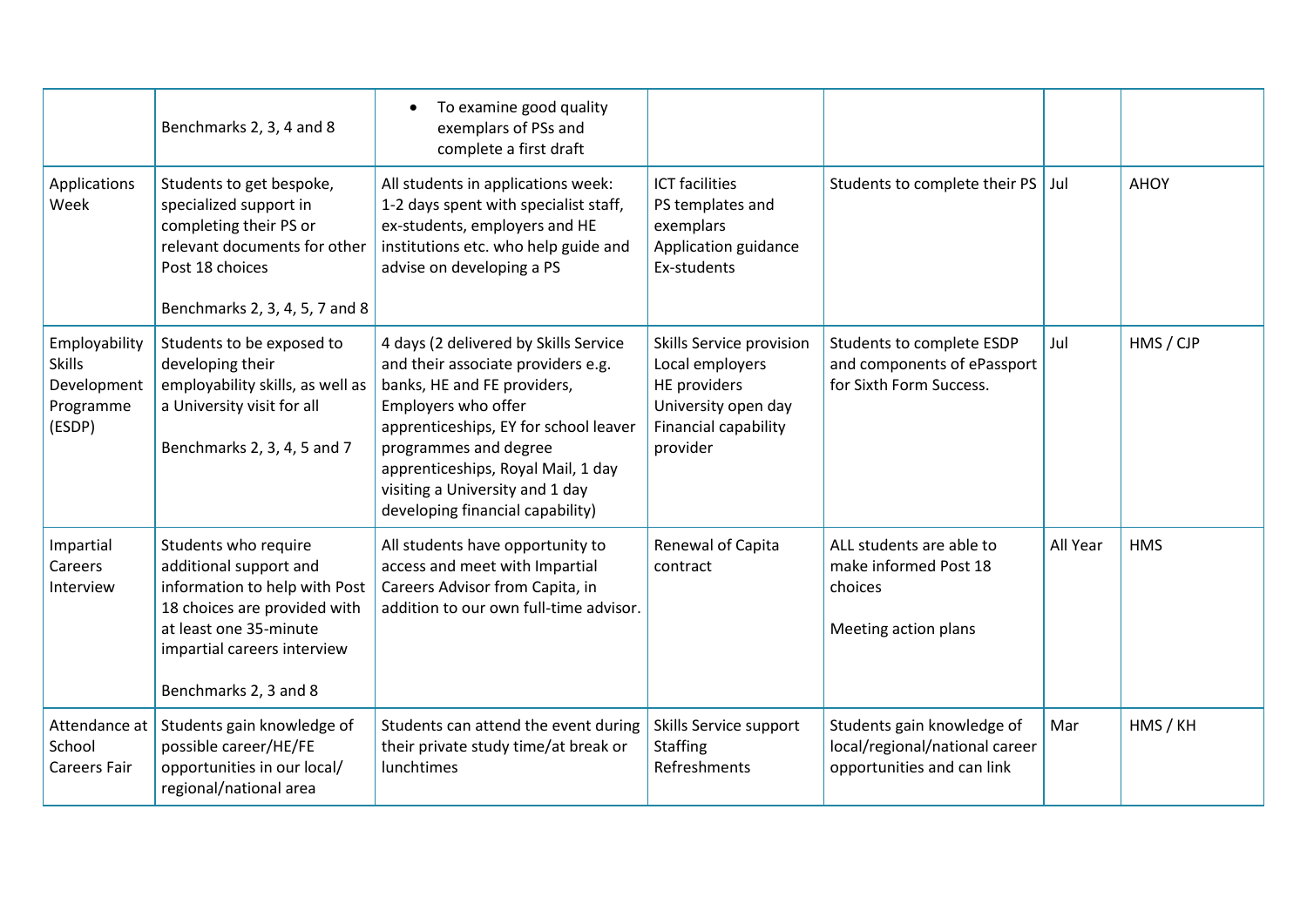|                                                                      | Benchmarks 2, 3, 4 and 8                                                                                                                                                                          | To examine good quality<br>exemplars of PSs and<br>complete a first draft                                                                                                                                                                                                                                        |                                                                                                                        |                                                                                            |          |             |
|----------------------------------------------------------------------|---------------------------------------------------------------------------------------------------------------------------------------------------------------------------------------------------|------------------------------------------------------------------------------------------------------------------------------------------------------------------------------------------------------------------------------------------------------------------------------------------------------------------|------------------------------------------------------------------------------------------------------------------------|--------------------------------------------------------------------------------------------|----------|-------------|
| Applications<br>Week                                                 | Students to get bespoke,<br>specialized support in<br>completing their PS or<br>relevant documents for other<br>Post 18 choices<br>Benchmarks 2, 3, 4, 5, 7 and 8                                 | All students in applications week:<br>1-2 days spent with specialist staff,<br>ex-students, employers and HE<br>institutions etc. who help guide and<br>advise on developing a PS                                                                                                                                | <b>ICT</b> facilities<br>PS templates and<br>exemplars<br>Application guidance<br>Ex-students                          | Students to complete their PS                                                              | Jul      | <b>AHOY</b> |
| Employability<br><b>Skills</b><br>Development<br>Programme<br>(ESDP) | Students to be exposed to<br>developing their<br>employability skills, as well as<br>a University visit for all<br>Benchmarks 2, 3, 4, 5 and 7                                                    | 4 days (2 delivered by Skills Service<br>and their associate providers e.g.<br>banks, HE and FE providers,<br>Employers who offer<br>apprenticeships, EY for school leaver<br>programmes and degree<br>apprenticeships, Royal Mail, 1 day<br>visiting a University and 1 day<br>developing financial capability) | Skills Service provision<br>Local employers<br>HE providers<br>University open day<br>Financial capability<br>provider | Students to complete ESDP<br>and components of ePassport<br>for Sixth Form Success.        | Jul      | HMS / CJP   |
| Impartial<br>Careers<br>Interview                                    | Students who require<br>additional support and<br>information to help with Post<br>18 choices are provided with<br>at least one 35-minute<br>impartial careers interview<br>Benchmarks 2, 3 and 8 | All students have opportunity to<br>access and meet with Impartial<br>Careers Advisor from Capita, in<br>addition to our own full-time advisor.                                                                                                                                                                  | Renewal of Capita<br>contract                                                                                          | ALL students are able to<br>make informed Post 18<br>choices<br>Meeting action plans       | All Year | <b>HMS</b>  |
| Attendance at<br>School<br><b>Careers Fair</b>                       | Students gain knowledge of<br>possible career/HE/FE<br>opportunities in our local/<br>regional/national area                                                                                      | Students can attend the event during<br>their private study time/at break or<br>lunchtimes                                                                                                                                                                                                                       | Skills Service support<br><b>Staffing</b><br>Refreshments                                                              | Students gain knowledge of<br>local/regional/national career<br>opportunities and can link | Mar      | HMS / KH    |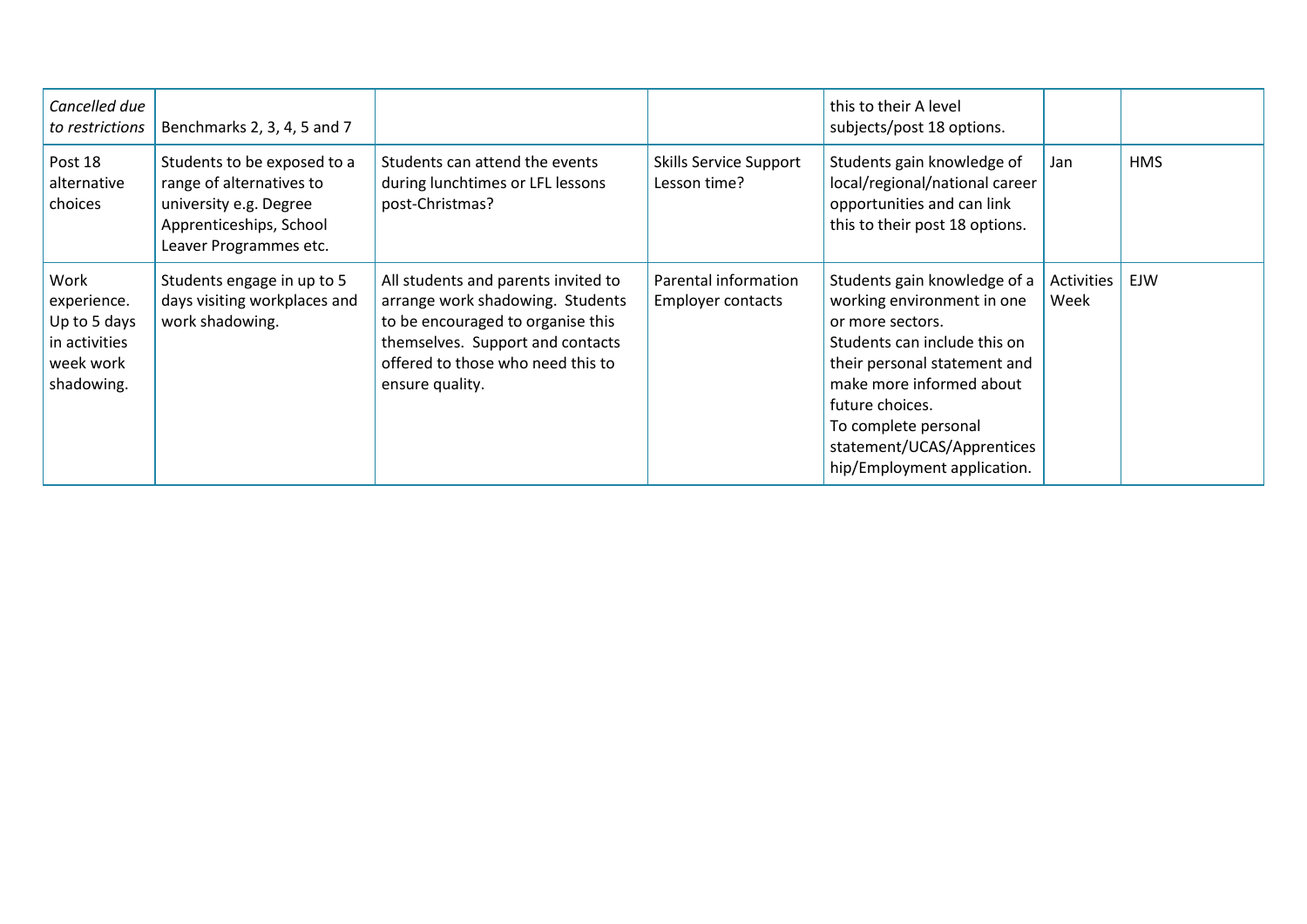| Cancelled due<br>to restrictions                                                | Benchmarks 2, 3, 4, 5 and 7                                                                                                            |                                                                                                                                                                                                          |                                                  | this to their A level<br>subjects/post 18 options.                                                                                                                                                                                                                                 |                    |            |
|---------------------------------------------------------------------------------|----------------------------------------------------------------------------------------------------------------------------------------|----------------------------------------------------------------------------------------------------------------------------------------------------------------------------------------------------------|--------------------------------------------------|------------------------------------------------------------------------------------------------------------------------------------------------------------------------------------------------------------------------------------------------------------------------------------|--------------------|------------|
| Post 18<br>alternative<br>choices                                               | Students to be exposed to a<br>range of alternatives to<br>university e.g. Degree<br>Apprenticeships, School<br>Leaver Programmes etc. | Students can attend the events<br>during lunchtimes or LFL lessons<br>post-Christmas?                                                                                                                    | <b>Skills Service Support</b><br>Lesson time?    | Students gain knowledge of<br>local/regional/national career<br>opportunities and can link<br>this to their post 18 options.                                                                                                                                                       | Jan                | <b>HMS</b> |
| Work<br>experience.<br>Up to 5 days<br>in activities<br>week work<br>shadowing. | Students engage in up to 5<br>days visiting workplaces and<br>work shadowing.                                                          | All students and parents invited to<br>arrange work shadowing. Students<br>to be encouraged to organise this<br>themselves. Support and contacts<br>offered to those who need this to<br>ensure quality. | Parental information<br><b>Employer contacts</b> | Students gain knowledge of a<br>working environment in one<br>or more sectors.<br>Students can include this on<br>their personal statement and<br>make more informed about<br>future choices.<br>To complete personal<br>statement/UCAS/Apprentices<br>hip/Employment application. | Activities<br>Week | EJW        |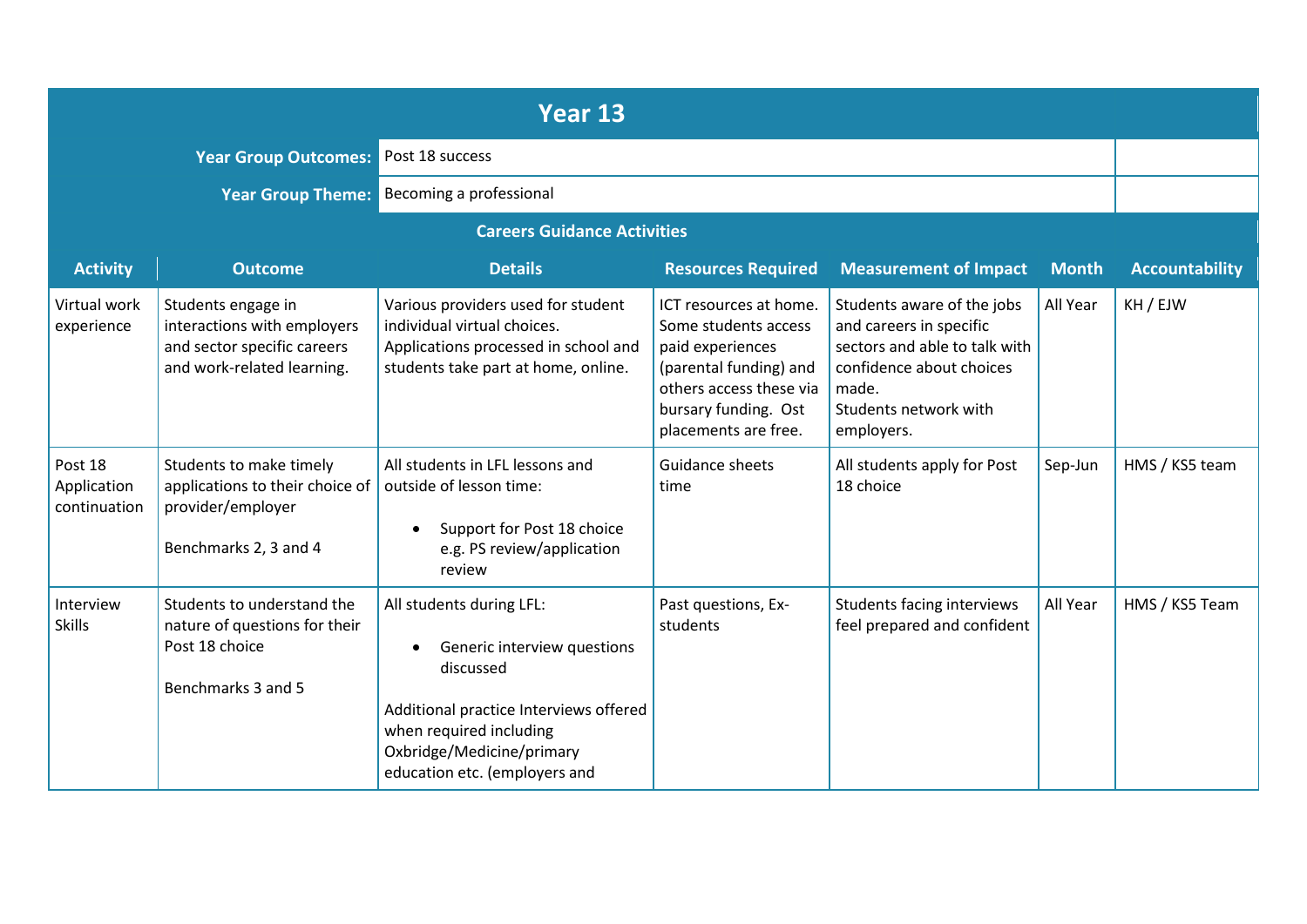|                                        |                                                                                                                | Year 13                                                                                                                                                                                                      |                                                                                                                                                                         |                                                                                                                                                                    |              |                       |
|----------------------------------------|----------------------------------------------------------------------------------------------------------------|--------------------------------------------------------------------------------------------------------------------------------------------------------------------------------------------------------------|-------------------------------------------------------------------------------------------------------------------------------------------------------------------------|--------------------------------------------------------------------------------------------------------------------------------------------------------------------|--------------|-----------------------|
|                                        | <b>Year Group Outcomes:</b>                                                                                    | Post 18 success                                                                                                                                                                                              |                                                                                                                                                                         |                                                                                                                                                                    |              |                       |
|                                        | <b>Year Group Theme:</b>                                                                                       | Becoming a professional                                                                                                                                                                                      |                                                                                                                                                                         |                                                                                                                                                                    |              |                       |
|                                        |                                                                                                                | <b>Careers Guidance Activities</b>                                                                                                                                                                           |                                                                                                                                                                         |                                                                                                                                                                    |              |                       |
| <b>Activity</b>                        | <b>Outcome</b>                                                                                                 | <b>Details</b>                                                                                                                                                                                               | <b>Resources Required</b>                                                                                                                                               | <b>Measurement of Impact</b>                                                                                                                                       | <b>Month</b> | <b>Accountability</b> |
| Virtual work<br>experience             | Students engage in<br>interactions with employers<br>and sector specific careers<br>and work-related learning. | Various providers used for student<br>individual virtual choices.<br>Applications processed in school and<br>students take part at home, online.                                                             | ICT resources at home.<br>Some students access<br>paid experiences<br>(parental funding) and<br>others access these via<br>bursary funding. Ost<br>placements are free. | Students aware of the jobs<br>and careers in specific<br>sectors and able to talk with<br>confidence about choices<br>made.<br>Students network with<br>employers. | All Year     | KH / EJW              |
| Post 18<br>Application<br>continuation | Students to make timely<br>applications to their choice of<br>provider/employer<br>Benchmarks 2, 3 and 4       | All students in LFL lessons and<br>outside of lesson time:<br>Support for Post 18 choice<br>e.g. PS review/application<br>review                                                                             | Guidance sheets<br>time                                                                                                                                                 | All students apply for Post<br>18 choice                                                                                                                           | Sep-Jun      | HMS / KS5 team        |
| Interview<br><b>Skills</b>             | Students to understand the<br>nature of questions for their<br>Post 18 choice<br>Benchmarks 3 and 5            | All students during LFL:<br>Generic interview questions<br>٠<br>discussed<br>Additional practice Interviews offered<br>when required including<br>Oxbridge/Medicine/primary<br>education etc. (employers and | Past questions, Ex-<br>students                                                                                                                                         | Students facing interviews<br>feel prepared and confident                                                                                                          | All Year     | HMS / KS5 Team        |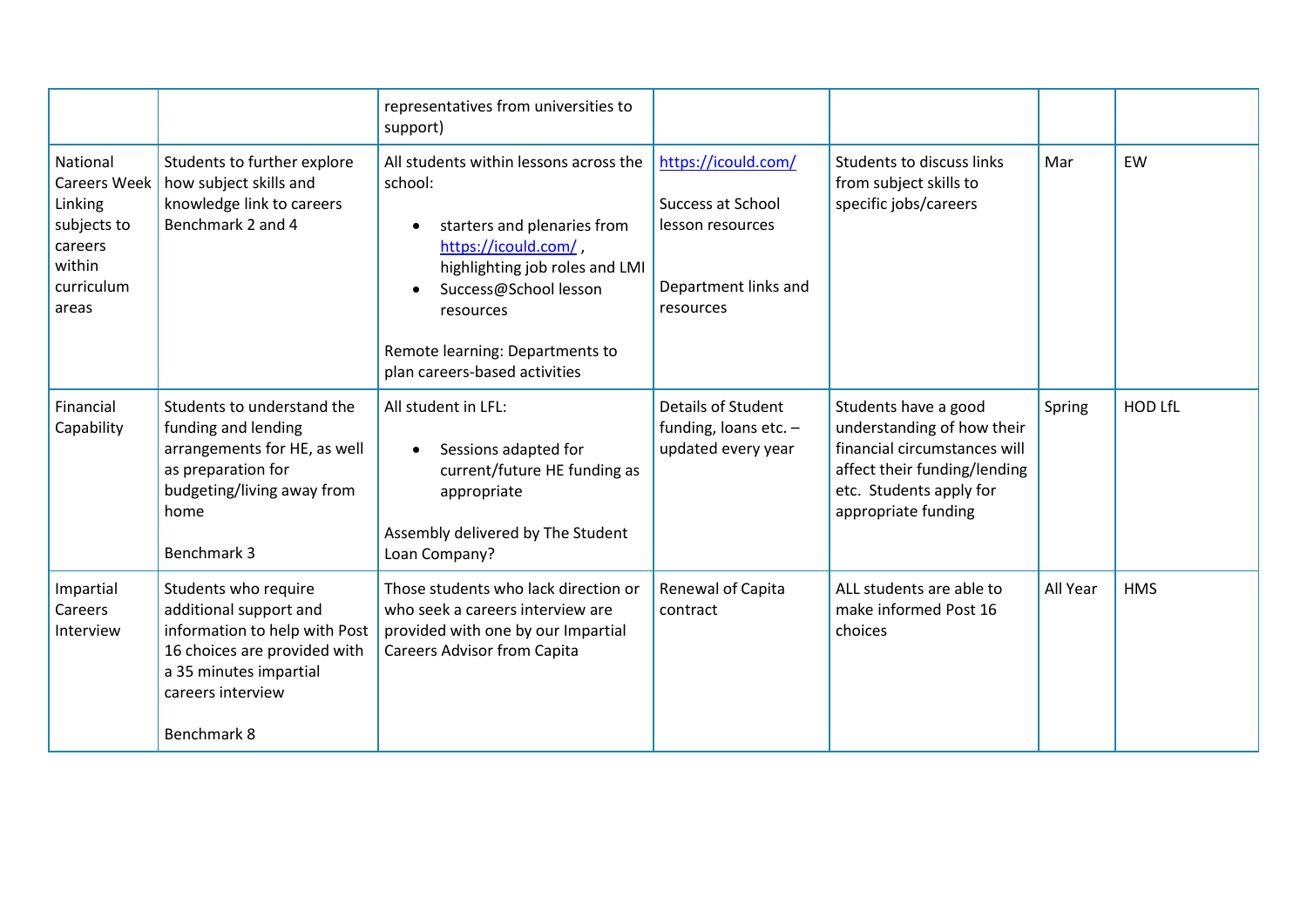|                                                                                                |                                                                                                                                                                               | representatives from universities to<br>support)                                                                                                                                                                                                                  |                                                                                                          |                                                                                                                                                                      |          |                |
|------------------------------------------------------------------------------------------------|-------------------------------------------------------------------------------------------------------------------------------------------------------------------------------|-------------------------------------------------------------------------------------------------------------------------------------------------------------------------------------------------------------------------------------------------------------------|----------------------------------------------------------------------------------------------------------|----------------------------------------------------------------------------------------------------------------------------------------------------------------------|----------|----------------|
| National<br>Careers Week<br>Linking<br>subjects to<br>careers<br>within<br>curriculum<br>areas | Students to further explore<br>how subject skills and<br>knowledge link to careers<br>Benchmark 2 and 4                                                                       | All students within lessons across the<br>school:<br>starters and plenaries from<br>$\bullet$<br>https://icould.com/,<br>highlighting job roles and LMI<br>Success@School lesson<br>resources<br>Remote learning: Departments to<br>plan careers-based activities | https://icould.com/<br><b>Success at School</b><br>lesson resources<br>Department links and<br>resources | Students to discuss links<br>from subject skills to<br>specific jobs/careers                                                                                         | Mar      | EW             |
| Financial<br>Capability                                                                        | Students to understand the<br>funding and lending<br>arrangements for HE, as well<br>as preparation for<br>budgeting/living away from<br>home<br>Benchmark 3                  | All student in LFL:<br>Sessions adapted for<br>current/future HE funding as<br>appropriate<br>Assembly delivered by The Student<br>Loan Company?                                                                                                                  | Details of Student<br>funding, loans etc. $-$<br>updated every year                                      | Students have a good<br>understanding of how their<br>financial circumstances will<br>affect their funding/lending<br>etc. Students apply for<br>appropriate funding | Spring   | <b>HOD LfL</b> |
| Impartial<br>Careers<br>Interview                                                              | Students who require<br>additional support and<br>information to help with Post<br>16 choices are provided with<br>a 35 minutes impartial<br>careers interview<br>Benchmark 8 | Those students who lack direction or<br>who seek a careers interview are<br>provided with one by our Impartial<br><b>Careers Advisor from Capita</b>                                                                                                              | Renewal of Capita<br>contract                                                                            | ALL students are able to<br>make informed Post 16<br>choices                                                                                                         | All Year | <b>HMS</b>     |